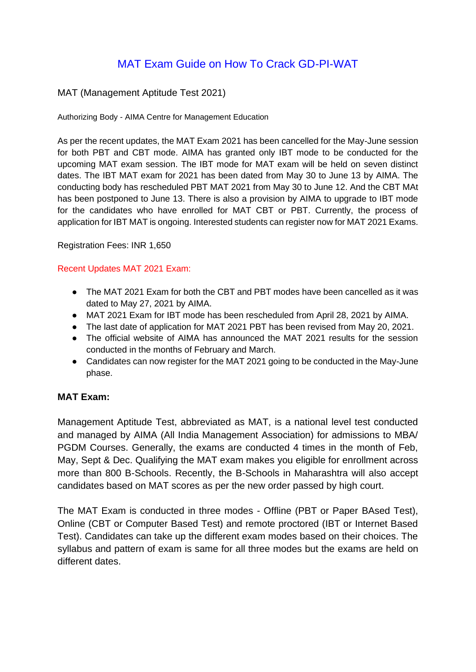# MAT Exam Guide on How To Crack GD-PI-WAT

### MAT (Management Aptitude Test 2021)

Authorizing Body - AIMA Centre for Management Education

As per the recent updates, the MAT Exam 2021 has been cancelled for the May-June session for both PBT and CBT mode. AIMA has granted only IBT mode to be conducted for the upcoming MAT exam session. The IBT mode for MAT exam will be held on seven distinct dates. The IBT MAT exam for 2021 has been dated from May 30 to June 13 by AIMA. The conducting body has rescheduled PBT MAT 2021 from May 30 to June 12. And the CBT MAt has been postponed to June 13. There is also a provision by AIMA to upgrade to IBT mode for the candidates who have enrolled for MAT CBT or PBT. Currently, the process of application for IBT MAT is ongoing. Interested students can register now for MAT 2021 Exams.

Registration Fees: INR 1,650

#### Recent Updates MAT 2021 Exam:

- The MAT 2021 Exam for both the CBT and PBT modes have been cancelled as it was dated to May 27, 2021 by AIMA.
- MAT 2021 Exam for IBT mode has been rescheduled from April 28, 2021 by AIMA.
- The last date of application for MAT 2021 PBT has been revised from May 20, 2021.
- The official website of AIMA has announced the MAT 2021 results for the session conducted in the months of February and March.
- Candidates can now register for the MAT 2021 going to be conducted in the May-June phase.

### **MAT Exam:**

Management Aptitude Test, abbreviated as MAT, is a national level test conducted and managed by AIMA (All India Management Association) for admissions to MBA/ PGDM Courses. Generally, the exams are conducted 4 times in the month of Feb, May, Sept & Dec. Qualifying the MAT exam makes you eligible for enrollment across more than 800 B-Schools. Recently, the B-Schools in Maharashtra will also accept candidates based on MAT scores as per the new order passed by high court.

The MAT Exam is conducted in three modes - Offline (PBT or Paper BAsed Test), Online (CBT or Computer Based Test) and remote proctored (IBT or Internet Based Test). Candidates can take up the different exam modes based on their choices. The syllabus and pattern of exam is same for all three modes but the exams are held on different dates.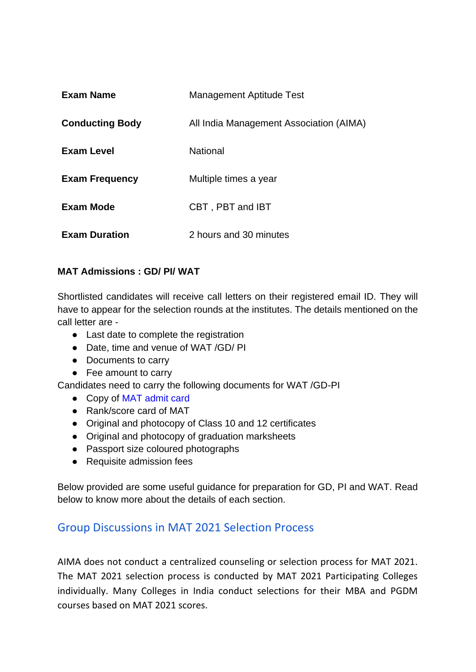| <b>Exam Name</b>       | <b>Management Aptitude Test</b>         |
|------------------------|-----------------------------------------|
| <b>Conducting Body</b> | All India Management Association (AIMA) |
| <b>Exam Level</b>      | <b>National</b>                         |
| <b>Exam Frequency</b>  | Multiple times a year                   |
| <b>Exam Mode</b>       | CBT, PBT and IBT                        |
| <b>Exam Duration</b>   | 2 hours and 30 minutes                  |

# **MAT Admissions : GD/ PI/ WAT**

Shortlisted candidates will receive call letters on their registered email ID. They will have to appear for the selection rounds at the institutes. The details mentioned on the call letter are -

- Last date to complete the registration
- Date, time and venue of WAT /GD/ PI
- Documents to carry
- Fee amount to carry

Candidates need to carry the following documents for WAT /GD-PI

- Copy of MAT admit card
- Rank/score card of MAT
- Original and photocopy of Class 10 and 12 certificates
- Original and photocopy of graduation marksheets
- Passport size coloured photographs
- Requisite admission fees

Below provided are some useful guidance for preparation for GD, PI and WAT. Read below to know more about the details of each section.

# Group Discussions in MAT 2021 Selection Process

AIMA does not conduct a centralized counseling or selection process for MAT 2021. The MAT 2021 selection process is conducted by MAT 2021 Participating Colleges individually. Many Colleges in India conduct selections for their MBA and PGDM courses based on MAT 2021 scores.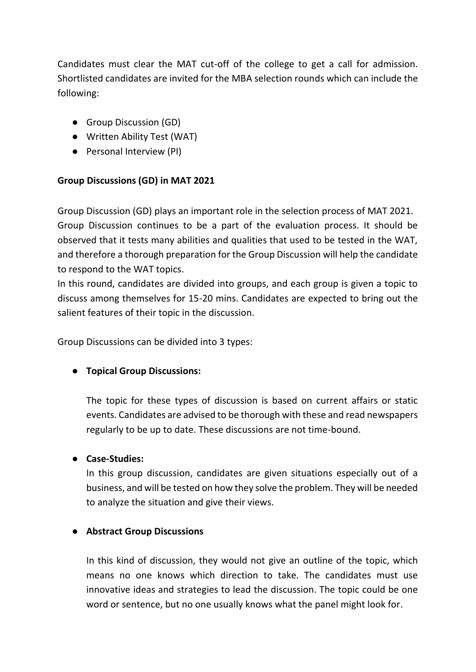Candidates must clear the MAT cut-off of the college to get a call for admission. Shortlisted candidates are invited for the MBA selection rounds which can include the following:

- Group Discussion (GD)
- Written Ability Test (WAT)
- Personal Interview (PI)

# **Group Discussions (GD) in MAT 2021**

Group Discussion (GD) plays an important role in the selection process of MAT 2021. Group Discussion continues to be a part of the evaluation process. It should be observed that it tests many abilities and qualities that used to be tested in the WAT, and therefore a thorough preparation for the Group Discussion will help the candidate to respond to the WAT topics.

In this round, candidates are divided into groups, and each group is given a topic to discuss among themselves for 15-20 mins. Candidates are expected to bring out the salient features of their topic in the discussion.

Group Discussions can be divided into 3 types:

# ● **Topical Group Discussions:**

The topic for these types of discussion is based on current affairs or static events. Candidates are advised to be thorough with these and read newspapers regularly to be up to date. These discussions are not time-bound.

# ● **Case-Studies:**

In this group discussion, candidates are given situations especially out of a business, and will be tested on how they solve the problem. They will be needed to analyze the situation and give their views.

# ● **Abstract Group Discussions**

In this kind of discussion, they would not give an outline of the topic, which means no one knows which direction to take. The candidates must use innovative ideas and strategies to lead the discussion. The topic could be one word or sentence, but no one usually knows what the panel might look for.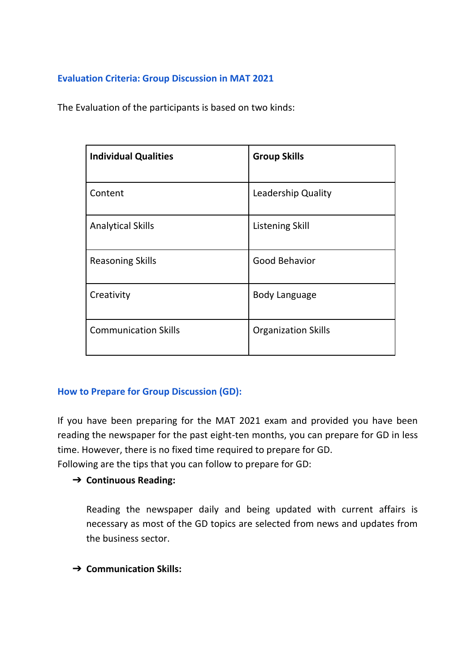# **Evaluation Criteria: Group Discussion in MAT 2021**

The Evaluation of the participants is based on two kinds:

| <b>Individual Qualities</b> | <b>Group Skills</b>        |
|-----------------------------|----------------------------|
| Content                     | Leadership Quality         |
| <b>Analytical Skills</b>    | <b>Listening Skill</b>     |
| <b>Reasoning Skills</b>     | Good Behavior              |
| Creativity                  | <b>Body Language</b>       |
| <b>Communication Skills</b> | <b>Organization Skills</b> |

# **How to Prepare for Group Discussion (GD):**

If you have been preparing for the MAT 2021 exam and provided you have been reading the newspaper for the past eight-ten months, you can prepare for GD in less time. However, there is no fixed time required to prepare for GD.

Following are the tips that you can follow to prepare for GD:

# ➔ **Continuous Reading:**

Reading the newspaper daily and being updated with current affairs is necessary as most of the GD topics are selected from news and updates from the business sector.

➔ **Communication Skills:**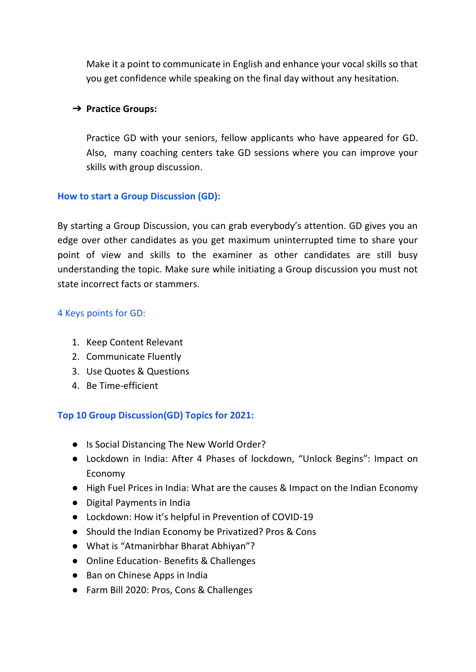Make it a point to communicate in English and enhance your vocal skills so that you get confidence while speaking on the final day without any hesitation.

## ➔ **Practice Groups:**

Practice GD with your seniors, fellow applicants who have appeared for GD. Also, many coaching centers take GD sessions where you can improve your skills with group discussion.

## **How to start a Group Discussion (GD):**

By starting a Group Discussion, you can grab everybody's attention. GD gives you an edge over other candidates as you get maximum uninterrupted time to share your point of view and skills to the examiner as other candidates are still busy understanding the topic. Make sure while initiating a Group discussion you must not state incorrect facts or stammers.

## 4 Keys points for GD:

- 1. Keep Content Relevant
- 2. Communicate Fluently
- 3. Use Quotes & Questions
- 4. Be Time-efficient

# **Top 10 Group Discussion(GD) Topics for 2021:**

- Is Social Distancing The New World Order?
- Lockdown in India: After 4 Phases of lockdown, "Unlock Begins": Impact on Economy
- High Fuel Prices in India: What are the causes & Impact on the Indian Economy
- Digital Payments in India
- Lockdown: How it's helpful in Prevention of COVID-19
- Should the Indian Economy be Privatized? Pros & Cons
- What is "Atmanirbhar Bharat Abhiyan"?
- Online Education- Benefits & Challenges
- Ban on Chinese Apps in India
- Farm Bill 2020: Pros, Cons & Challenges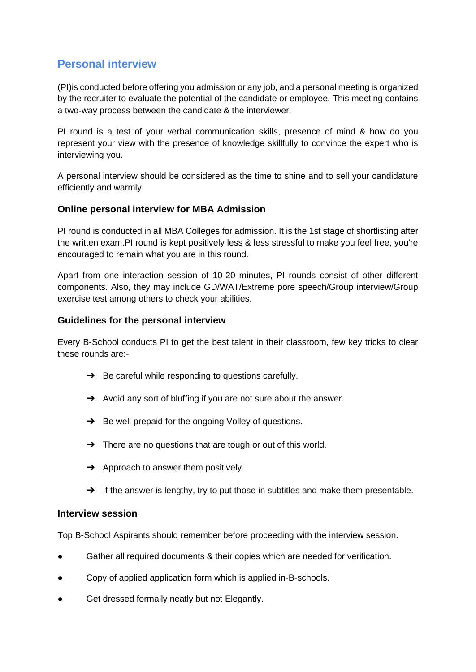# **Personal interview**

(PI)is conducted before offering you admission or any job, and a personal meeting is organized by the recruiter to evaluate the potential of the candidate or employee. This meeting contains a two-way process between the candidate & the interviewer.

PI round is a test of your verbal communication skills, presence of mind & how do you represent your view with the presence of knowledge skillfully to convince the expert who is interviewing you.

A personal interview should be considered as the time to shine and to sell your candidature efficiently and warmly.

## **Online personal interview for MBA Admission**

PI round is conducted in all MBA Colleges for admission. It is the 1st stage of shortlisting after the written exam.PI round is kept positively less & less stressful to make you feel free, you're encouraged to remain what you are in this round.

Apart from one interaction session of 10-20 minutes, PI rounds consist of other different components. Also, they may include GD/WAT/Extreme pore speech/Group interview/Group exercise test among others to check your abilities.

### **Guidelines for the personal interview**

Every B-School conducts PI to get the best talent in their classroom, few key tricks to clear these rounds are:-

- $\rightarrow$  Be careful while responding to questions carefully.
- → Avoid any sort of bluffing if you are not sure about the answer.
- → Be well prepaid for the ongoing Volley of questions.
- → There are no questions that are tough or out of this world.
- $\rightarrow$  Approach to answer them positively.
- $\rightarrow$  If the answer is lengthy, try to put those in subtitles and make them presentable.

#### **Interview session**

Top B-School Aspirants should remember before proceeding with the interview session.

- Gather all required documents & their copies which are needed for verification.
- Copy of applied application form which is applied in-B-schools.
- Get dressed formally neatly but not Elegantly.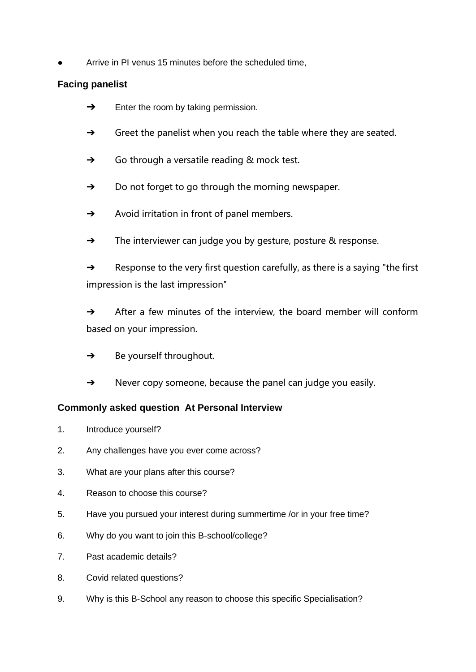Arrive in PI venus 15 minutes before the scheduled time,

# **Facing panelist**

- $\rightarrow$  Enter the room by taking permission.
- $\rightarrow$  Greet the panelist when you reach the table where they are seated.
- ➔ Go through a versatile reading & mock test.
- ➔ Do not forget to go through the morning newspaper.
- ➔ Avoid irritation in front of panel members.
- ➔ The interviewer can judge you by gesture, posture & response.

➔ Response to the very first question carefully, as there is a saying "the first impression is the last impression"

 $\rightarrow$  After a few minutes of the interview, the board member will conform based on your impression.

- $\rightarrow$  Be yourself throughout.
- ➔ Never copy someone, because the panel can judge you easily.

# **Commonly asked question At Personal Interview**

- 1. Introduce yourself?
- 2. Any challenges have you ever come across?
- 3. What are your plans after this course?
- 4. Reason to choose this course?
- 5. Have you pursued your interest during summertime /or in your free time?
- 6. Why do you want to join this B-school/college?
- 7. Past academic details?
- 8. Covid related questions?
- 9. Why is this B-School any reason to choose this specific Specialisation?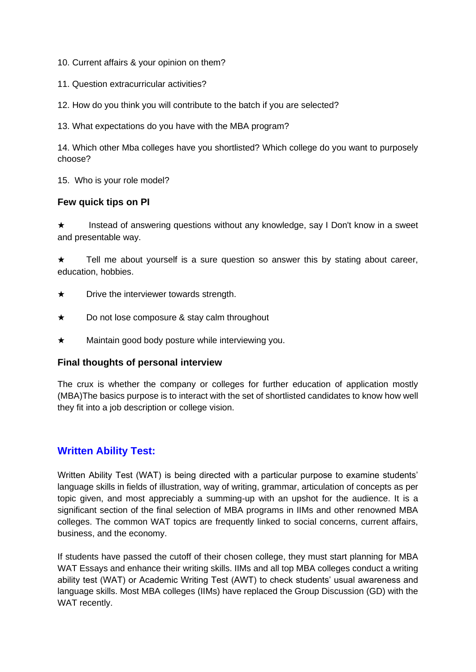- 10. Current affairs & your opinion on them?
- 11. Question extracurricular activities?
- 12. How do you think you will contribute to the batch if you are selected?
- 13. What expectations do you have with the MBA program?

14. Which other Mba colleges have you shortlisted? Which college do you want to purposely choose?

15. Who is your role model?

## **Few quick tips on PI**

★ Instead of answering questions without any knowledge, say I Don't know in a sweet and presentable way.

★ Tell me about yourself is a sure question so answer this by stating about career, education, hobbies.

- $\star$  Drive the interviewer towards strength.
- ★ Do not lose composure & stay calm throughout
- ★ Maintain good body posture while interviewing you.

### **Final thoughts of personal interview**

The crux is whether the company or colleges for further education of application mostly (MBA)The basics purpose is to interact with the set of shortlisted candidates to know how well they fit into a job description or college vision.

# **Written Ability Test:**

Written Ability Test (WAT) is being directed with a particular purpose to examine students' language skills in fields of illustration, way of writing, grammar, articulation of concepts as per topic given, and most appreciably a summing-up with an upshot for the audience. It is a significant section of the final selection of MBA programs in IIMs and other renowned MBA colleges. The common WAT topics are frequently linked to social concerns, current affairs, business, and the economy.

If students have passed the cutoff of their chosen college, they must start planning for MBA WAT Essays and enhance their writing skills. IIMs and all top MBA colleges conduct a writing ability test (WAT) or Academic Writing Test (AWT) to check students' usual awareness and language skills. Most MBA colleges (IIMs) have replaced the Group Discussion (GD) with the WAT recently.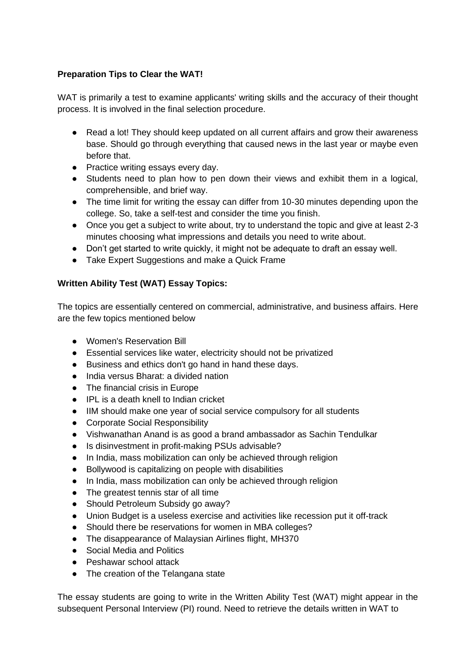### **Preparation Tips to Clear the WAT!**

WAT is primarily a test to examine applicants' writing skills and the accuracy of their thought process. It is involved in the final selection procedure.

- Read a lot! They should keep updated on all current affairs and grow their awareness base. Should go through everything that caused news in the last year or maybe even before that.
- Practice writing essays every day.
- Students need to plan how to pen down their views and exhibit them in a logical, comprehensible, and brief way.
- The time limit for writing the essay can differ from 10-30 minutes depending upon the college. So, take a self-test and consider the time you finish.
- Once you get a subject to write about, try to understand the topic and give at least 2-3 minutes choosing what impressions and details you need to write about.
- Don't get started to write quickly, it might not be adequate to draft an essay well.
- Take Expert Suggestions and make a Quick Frame

## **Written Ability Test (WAT) Essay Topics:**

The topics are essentially centered on commercial, administrative, and business affairs. Here are the few topics mentioned below

- Women's Reservation Bill
- Essential services like water, electricity should not be privatized
- Business and ethics don't go hand in hand these days.
- India versus Bharat: a divided nation
- The financial crisis in Europe
- IPL is a death knell to Indian cricket
- IIM should make one year of social service compulsory for all students
- Corporate Social Responsibility
- Vishwanathan Anand is as good a brand ambassador as Sachin Tendulkar
- Is disinvestment in profit-making PSUs advisable?
- In India, mass mobilization can only be achieved through religion
- Bollywood is capitalizing on people with disabilities
- In India, mass mobilization can only be achieved through religion
- The greatest tennis star of all time
- Should Petroleum Subsidy go away?
- Union Budget is a useless exercise and activities like recession put it off-track
- Should there be reservations for women in MBA colleges?
- The disappearance of Malaysian Airlines flight, MH370
- Social Media and Politics
- Peshawar school attack
- The creation of the Telangana state

The essay students are going to write in the Written Ability Test (WAT) might appear in the subsequent Personal Interview (PI) round. Need to retrieve the details written in WAT to